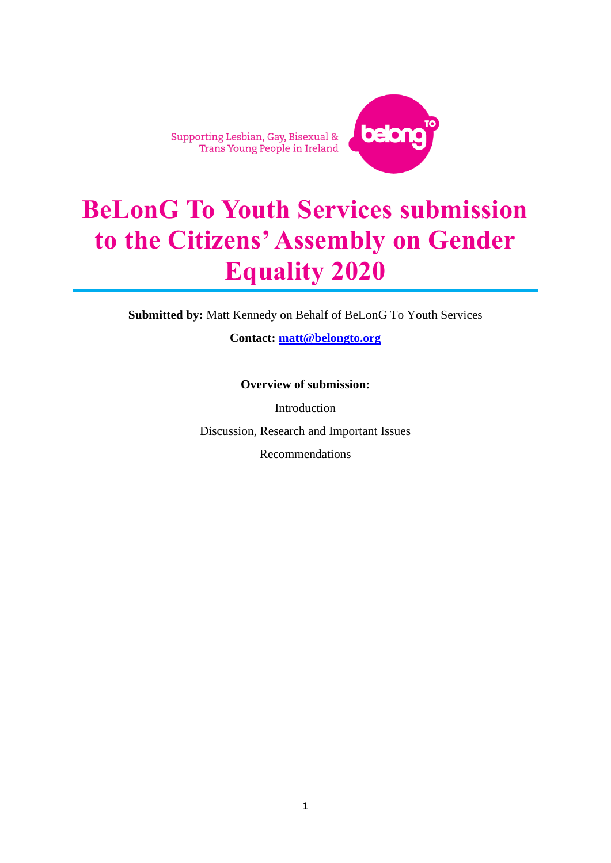Supporting Lesbian, Gay, Bisexual &<br>Trans Young People in Ireland



# **BeLonG To Youth Services submission to the Citizens' Assembly on Gender Equality 2020**

**Submitted by:** Matt Kennedy on Behalf of BeLonG To Youth Services

**Contact: [matt@belongto.org](mailto:matt@belongto.org)**

**Overview of submission:**

Introduction Discussion, Research and Important Issues

Recommendations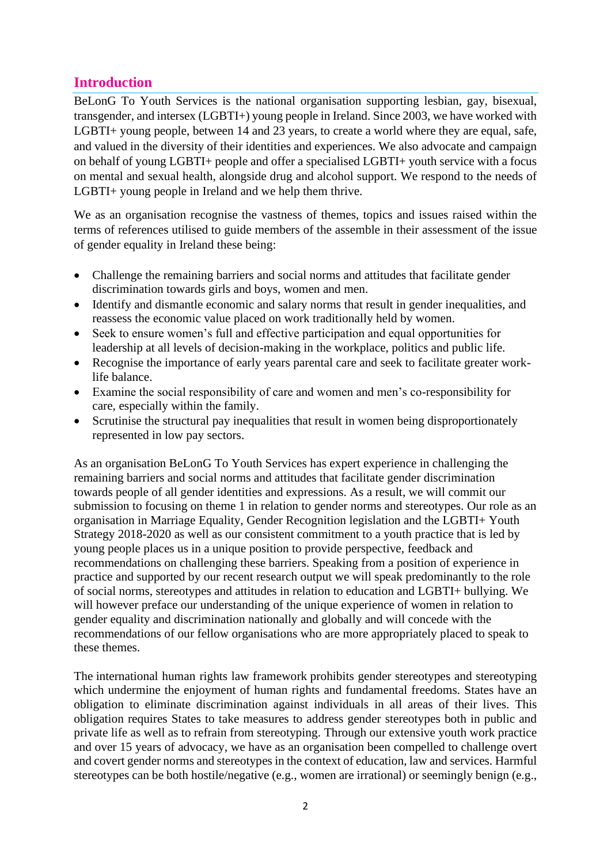## **Introduction**

BeLonG To Youth Services is the national organisation supporting lesbian, gay, bisexual, transgender, and intersex (LGBTI+) young people in Ireland. Since 2003, we have worked with LGBTI+ young people, between 14 and 23 years, to create a world where they are equal, safe, and valued in the diversity of their identities and experiences. We also advocate and campaign on behalf of young LGBTI+ people and offer a specialised LGBTI+ youth service with a focus on mental and sexual health, alongside drug and alcohol support. We respond to the needs of LGBTI+ young people in Ireland and we help them thrive.

We as an organisation recognise the vastness of themes, topics and issues raised within the terms of references utilised to guide members of the assemble in their assessment of the issue of gender equality in Ireland these being:

- Challenge the remaining barriers and social norms and attitudes that facilitate gender discrimination towards girls and boys, women and men.
- Identify and dismantle economic and salary norms that result in gender inequalities, and reassess the economic value placed on work traditionally held by women.
- Seek to ensure women's full and effective participation and equal opportunities for leadership at all levels of decision-making in the workplace, politics and public life.
- Recognise the importance of early years parental care and seek to facilitate greater worklife balance.
- Examine the social responsibility of care and women and men's co-responsibility for care, especially within the family.
- Scrutinise the structural pay inequalities that result in women being disproportionately represented in low pay sectors.

As an organisation BeLonG To Youth Services has expert experience in challenging the remaining barriers and social norms and attitudes that facilitate gender discrimination towards people of all gender identities and expressions. As a result, we will commit our submission to focusing on theme 1 in relation to gender norms and stereotypes. Our role as an organisation in Marriage Equality, Gender Recognition legislation and the LGBTI+ Youth Strategy 2018-2020 as well as our consistent commitment to a youth practice that is led by young people places us in a unique position to provide perspective, feedback and recommendations on challenging these barriers. Speaking from a position of experience in practice and supported by our recent research output we will speak predominantly to the role of social norms, stereotypes and attitudes in relation to education and LGBTI+ bullying. We will however preface our understanding of the unique experience of women in relation to gender equality and discrimination nationally and globally and will concede with the recommendations of our fellow organisations who are more appropriately placed to speak to these themes.

The international human rights law framework prohibits gender stereotypes and stereotyping which undermine the enjoyment of human rights and fundamental freedoms. States have an obligation to eliminate discrimination against individuals in all areas of their lives. This obligation requires States to take measures to address gender stereotypes both in public and private life as well as to refrain from stereotyping. Through our extensive youth work practice and over 15 years of advocacy, we have as an organisation been compelled to challenge overt and covert gender norms and stereotypes in the context of education, law and services. Harmful stereotypes can be both hostile/negative (e.g., women are irrational) or seemingly benign (e.g.,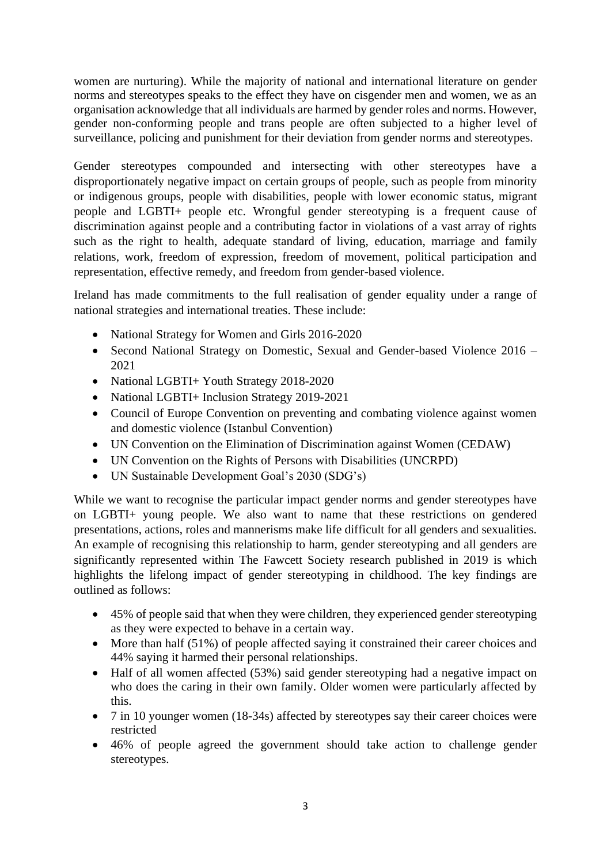women are nurturing). While the majority of national and international literature on gender norms and stereotypes speaks to the effect they have on cisgender men and women, we as an organisation acknowledge that all individuals are harmed by gender roles and norms. However, gender non-conforming people and trans people are often subjected to a higher level of surveillance, policing and punishment for their deviation from gender norms and stereotypes.

Gender stereotypes compounded and intersecting with other stereotypes have a disproportionately negative impact on certain groups of people, such as people from minority or indigenous groups, people with disabilities, people with lower economic status, migrant people and LGBTI+ people etc. Wrongful gender stereotyping is a frequent cause of discrimination against people and a contributing factor in violations of a vast array of rights such as the right to health, adequate standard of living, education, marriage and family relations, work, freedom of expression, freedom of movement, political participation and representation, effective remedy, and freedom from gender-based violence.

Ireland has made commitments to the full realisation of gender equality under a range of national strategies and international treaties. These include:

- National Strategy for Women and Girls 2016-2020
- Second National Strategy on Domestic, Sexual and Gender-based Violence 2016 2021
- National LGBTI+ Youth Strategy 2018-2020
- National LGBTI+ Inclusion Strategy 2019-2021
- Council of Europe Convention on preventing and combating violence against women and domestic violence (Istanbul Convention)
- UN Convention on the Elimination of Discrimination against Women (CEDAW)
- UN Convention on the Rights of Persons with Disabilities (UNCRPD)
- UN Sustainable Development Goal's 2030 (SDG's)

While we want to recognise the particular impact gender norms and gender stereotypes have on LGBTI+ young people. We also want to name that these restrictions on gendered presentations, actions, roles and mannerisms make life difficult for all genders and sexualities. An example of recognising this relationship to harm, gender stereotyping and all genders are significantly represented within The Fawcett Society research published in 2019 is which highlights the lifelong impact of gender stereotyping in childhood. The key findings are outlined as follows:

- 45% of people said that when they were children, they experienced gender stereotyping as they were expected to behave in a certain way.
- More than half (51%) of people affected saying it constrained their career choices and 44% saying it harmed their personal relationships.
- Half of all women affected (53%) said gender stereotyping had a negative impact on who does the caring in their own family. Older women were particularly affected by this.
- 7 in 10 younger women (18-34s) affected by stereotypes say their career choices were restricted
- 46% of people agreed the government should take action to challenge gender stereotypes.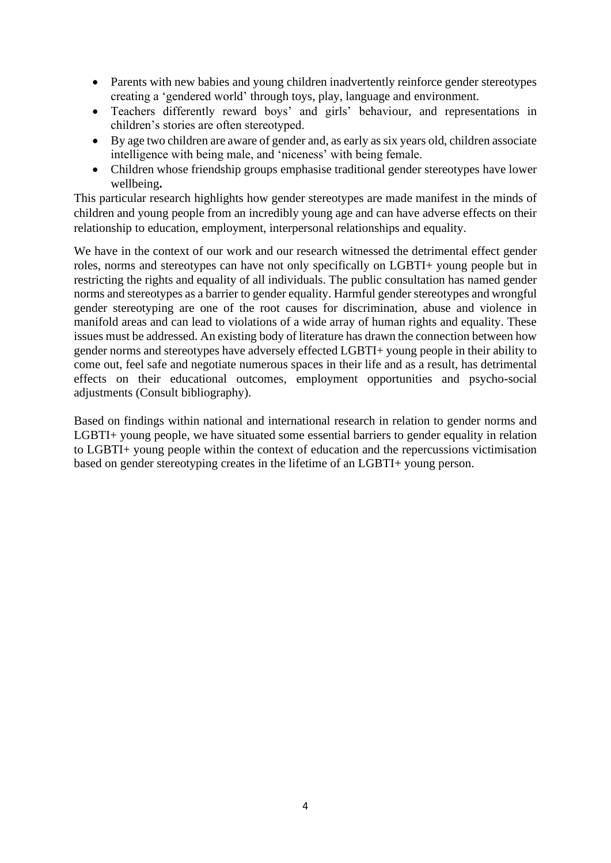- Parents with new babies and young children inadvertently reinforce gender stereotypes creating a 'gendered world' through toys, play, language and environment.
- Teachers differently reward boys' and girls' behaviour, and representations in children's stories are often stereotyped.
- By age two children are aware of gender and, as early as six years old, children associate intelligence with being male, and 'niceness' with being female.
- Children whose friendship groups emphasise traditional gender stereotypes have lower wellbeing**.**

This particular research highlights how gender stereotypes are made manifest in the minds of children and young people from an incredibly young age and can have adverse effects on their relationship to education, employment, interpersonal relationships and equality.

We have in the context of our work and our research witnessed the detrimental effect gender roles, norms and stereotypes can have not only specifically on LGBTI+ young people but in restricting the rights and equality of all individuals. The public consultation has named gender norms and stereotypes as a barrier to gender equality. Harmful gender stereotypes and wrongful gender stereotyping are one of the root causes for discrimination, abuse and violence in manifold areas and can lead to violations of a wide array of human rights and equality. These issues must be addressed. An existing body of literature has drawn the connection between how gender norms and stereotypes have adversely effected LGBTI+ young people in their ability to come out, feel safe and negotiate numerous spaces in their life and as a result, has detrimental effects on their educational outcomes, employment opportunities and psycho-social adjustments (Consult bibliography).

Based on findings within national and international research in relation to gender norms and LGBTI+ young people, we have situated some essential barriers to gender equality in relation to LGBTI+ young people within the context of education and the repercussions victimisation based on gender stereotyping creates in the lifetime of an LGBTI+ young person.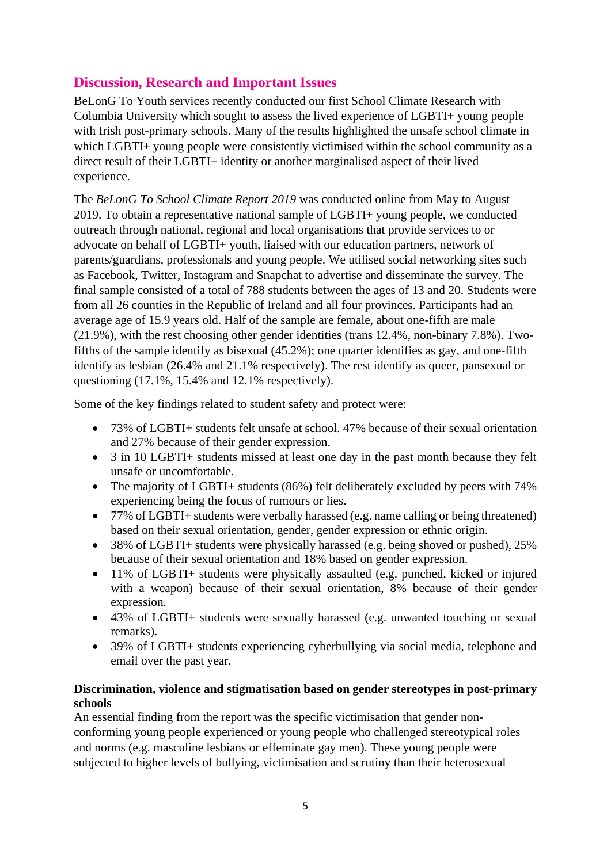# **Discussion, Research and Important Issues**

BeLonG To Youth services recently conducted our first School Climate Research with Columbia University which sought to assess the lived experience of LGBTI+ young people with Irish post-primary schools. Many of the results highlighted the unsafe school climate in which LGBTI+ young people were consistently victimised within the school community as a direct result of their LGBTI+ identity or another marginalised aspect of their lived experience.

The *BeLonG To School Climate Report 2019* was conducted online from May to August 2019. To obtain a representative national sample of LGBTI+ young people, we conducted outreach through national, regional and local organisations that provide services to or advocate on behalf of LGBTI+ youth, liaised with our education partners, network of parents/guardians, professionals and young people. We utilised social networking sites such as Facebook, Twitter, Instagram and Snapchat to advertise and disseminate the survey. The final sample consisted of a total of 788 students between the ages of 13 and 20. Students were from all 26 counties in the Republic of Ireland and all four provinces. Participants had an average age of 15.9 years old. Half of the sample are female, about one-fifth are male (21.9%), with the rest choosing other gender identities (trans 12.4%, non-binary 7.8%). Twofifths of the sample identify as bisexual (45.2%); one quarter identifies as gay, and one-fifth identify as lesbian (26.4% and 21.1% respectively). The rest identify as queer, pansexual or questioning (17.1%, 15.4% and 12.1% respectively).

Some of the key findings related to student safety and protect were:

- 73% of LGBTI+ students felt unsafe at school. 47% because of their sexual orientation and 27% because of their gender expression.
- 3 in 10 LGBTI+ students missed at least one day in the past month because they felt unsafe or uncomfortable.
- The majority of LGBTI+ students (86%) felt deliberately excluded by peers with 74% experiencing being the focus of rumours or lies.
- 77% of LGBTI+ students were verbally harassed (e.g. name calling or being threatened) based on their sexual orientation, gender, gender expression or ethnic origin.
- 38% of LGBTI+ students were physically harassed (e.g. being shoved or pushed), 25% because of their sexual orientation and 18% based on gender expression.
- 11% of LGBTI+ students were physically assaulted (e.g. punched, kicked or injured with a weapon) because of their sexual orientation, 8% because of their gender expression.
- 43% of LGBTI+ students were sexually harassed (e.g. unwanted touching or sexual remarks).
- 39% of LGBTI+ students experiencing cyberbullying via social media, telephone and email over the past year.

#### **Discrimination, violence and stigmatisation based on gender stereotypes in post-primary schools**

An essential finding from the report was the specific victimisation that gender nonconforming young people experienced or young people who challenged stereotypical roles and norms (e.g. masculine lesbians or effeminate gay men). These young people were subjected to higher levels of bullying, victimisation and scrutiny than their heterosexual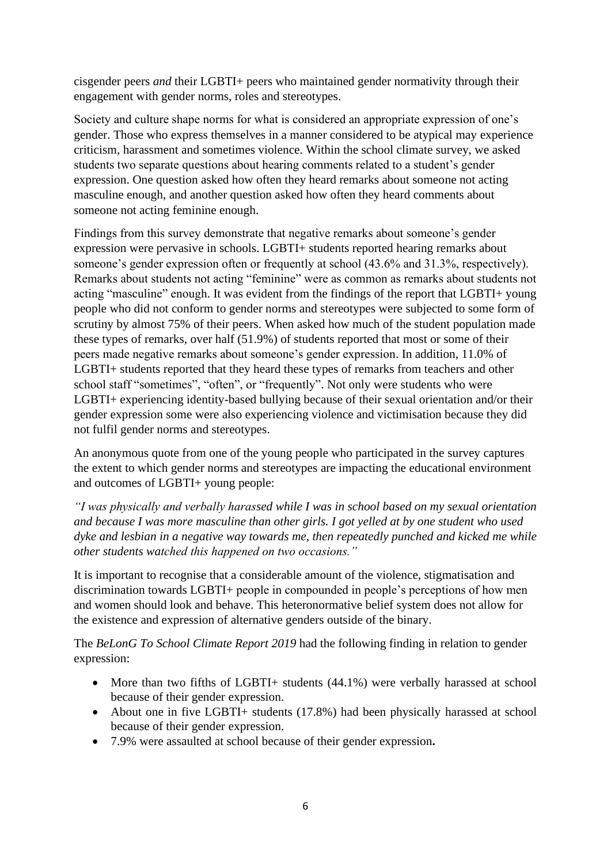cisgender peers *and* their LGBTI+ peers who maintained gender normativity through their engagement with gender norms, roles and stereotypes.

Society and culture shape norms for what is considered an appropriate expression of one's gender. Those who express themselves in a manner considered to be atypical may experience criticism, harassment and sometimes violence. Within the school climate survey, we asked students two separate questions about hearing comments related to a student's gender expression. One question asked how often they heard remarks about someone not acting masculine enough, and another question asked how often they heard comments about someone not acting feminine enough.

Findings from this survey demonstrate that negative remarks about someone's gender expression were pervasive in schools. LGBTI+ students reported hearing remarks about someone's gender expression often or frequently at school (43.6% and 31.3%, respectively). Remarks about students not acting "feminine" were as common as remarks about students not acting "masculine" enough. It was evident from the findings of the report that LGBTI+ young people who did not conform to gender norms and stereotypes were subjected to some form of scrutiny by almost 75% of their peers. When asked how much of the student population made these types of remarks, over half (51.9%) of students reported that most or some of their peers made negative remarks about someone's gender expression. In addition, 11.0% of LGBTI+ students reported that they heard these types of remarks from teachers and other school staff "sometimes", "often", or "frequently". Not only were students who were LGBTI+ experiencing identity-based bullying because of their sexual orientation and/or their gender expression some were also experiencing violence and victimisation because they did not fulfil gender norms and stereotypes.

An anonymous quote from one of the young people who participated in the survey captures the extent to which gender norms and stereotypes are impacting the educational environment and outcomes of LGBTI+ young people:

*"I was physically and verbally harassed while I was in school based on my sexual orientation and because I was more masculine than other girls. I got yelled at by one student who used dyke and lesbian in a negative way towards me, then repeatedly punched and kicked me while other students watched this happened on two occasions."*

It is important to recognise that a considerable amount of the violence, stigmatisation and discrimination towards LGBTI+ people in compounded in people's perceptions of how men and women should look and behave. This heteronormative belief system does not allow for the existence and expression of alternative genders outside of the binary.

The *BeLonG To School Climate Report 2019* had the following finding in relation to gender expression:

- More than two fifths of LGBTI+ students (44.1%) were verbally harassed at school because of their gender expression.
- About one in five LGBTI+ students (17.8%) had been physically harassed at school because of their gender expression.
- 7.9% were assaulted at school because of their gender expression**.**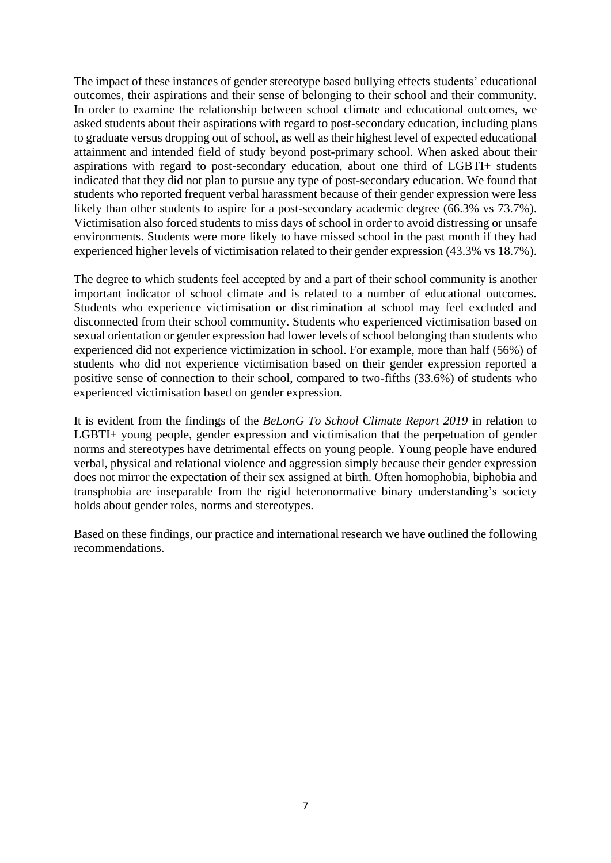The impact of these instances of gender stereotype based bullying effects students' educational outcomes, their aspirations and their sense of belonging to their school and their community. In order to examine the relationship between school climate and educational outcomes, we asked students about their aspirations with regard to post-secondary education, including plans to graduate versus dropping out of school, as well as their highest level of expected educational attainment and intended field of study beyond post-primary school. When asked about their aspirations with regard to post-secondary education, about one third of LGBTI+ students indicated that they did not plan to pursue any type of post-secondary education. We found that students who reported frequent verbal harassment because of their gender expression were less likely than other students to aspire for a post-secondary academic degree (66.3% vs 73.7%). Victimisation also forced students to miss days of school in order to avoid distressing or unsafe environments. Students were more likely to have missed school in the past month if they had experienced higher levels of victimisation related to their gender expression (43.3% vs 18.7%).

The degree to which students feel accepted by and a part of their school community is another important indicator of school climate and is related to a number of educational outcomes. Students who experience victimisation or discrimination at school may feel excluded and disconnected from their school community. Students who experienced victimisation based on sexual orientation or gender expression had lower levels of school belonging than students who experienced did not experience victimization in school. For example, more than half (56%) of students who did not experience victimisation based on their gender expression reported a positive sense of connection to their school, compared to two-fifths (33.6%) of students who experienced victimisation based on gender expression.

It is evident from the findings of the *BeLonG To School Climate Report 2019* in relation to LGBTI+ young people, gender expression and victimisation that the perpetuation of gender norms and stereotypes have detrimental effects on young people. Young people have endured verbal, physical and relational violence and aggression simply because their gender expression does not mirror the expectation of their sex assigned at birth. Often homophobia, biphobia and transphobia are inseparable from the rigid heteronormative binary understanding's society holds about gender roles, norms and stereotypes.

Based on these findings, our practice and international research we have outlined the following recommendations.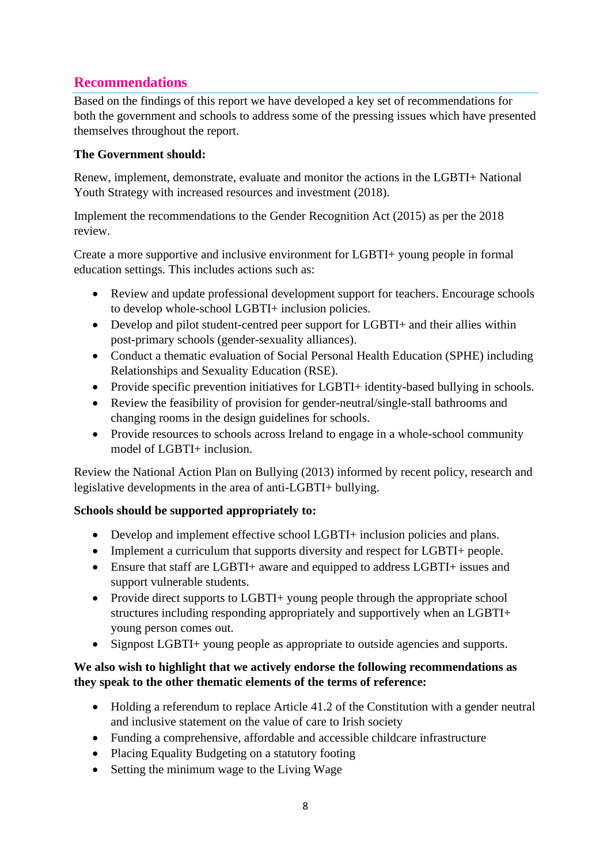## **Recommendations**

Based on the findings of this report we have developed a key set of recommendations for both the government and schools to address some of the pressing issues which have presented themselves throughout the report.

#### **The Government should:**

Renew, implement, demonstrate, evaluate and monitor the actions in the LGBTI+ National Youth Strategy with increased resources and investment (2018).

Implement the recommendations to the Gender Recognition Act (2015) as per the 2018 review.

Create a more supportive and inclusive environment for LGBTI+ young people in formal education settings. This includes actions such as:

- Review and update professional development support for teachers. Encourage schools to develop whole-school LGBTI+ inclusion policies.
- Develop and pilot student-centred peer support for LGBTI+ and their allies within post-primary schools (gender-sexuality alliances).
- Conduct a thematic evaluation of Social Personal Health Education (SPHE) including Relationships and Sexuality Education (RSE).
- Provide specific prevention initiatives for LGBTI+ identity-based bullying in schools.
- Review the feasibility of provision for gender-neutral/single-stall bathrooms and changing rooms in the design guidelines for schools.
- Provide resources to schools across Ireland to engage in a whole-school community model of LGBTI+ inclusion.

Review the National Action Plan on Bullying (2013) informed by recent policy, research and legislative developments in the area of anti-LGBTI+ bullying.

## **Schools should be supported appropriately to:**

- Develop and implement effective school LGBTI+ inclusion policies and plans.
- Implement a curriculum that supports diversity and respect for LGBTI+ people.
- Ensure that staff are LGBTI+ aware and equipped to address LGBTI+ issues and support vulnerable students.
- Provide direct supports to LGBTI+ young people through the appropriate school structures including responding appropriately and supportively when an LGBTI+ young person comes out.
- Signpost LGBTI+ young people as appropriate to outside agencies and supports.

#### **We also wish to highlight that we actively endorse the following recommendations as they speak to the other thematic elements of the terms of reference:**

- Holding a referendum to replace Article 41.2 of the Constitution with a gender neutral and inclusive statement on the value of care to Irish society
- Funding a comprehensive, affordable and accessible childcare infrastructure
- Placing Equality Budgeting on a statutory footing
- Setting the minimum wage to the Living Wage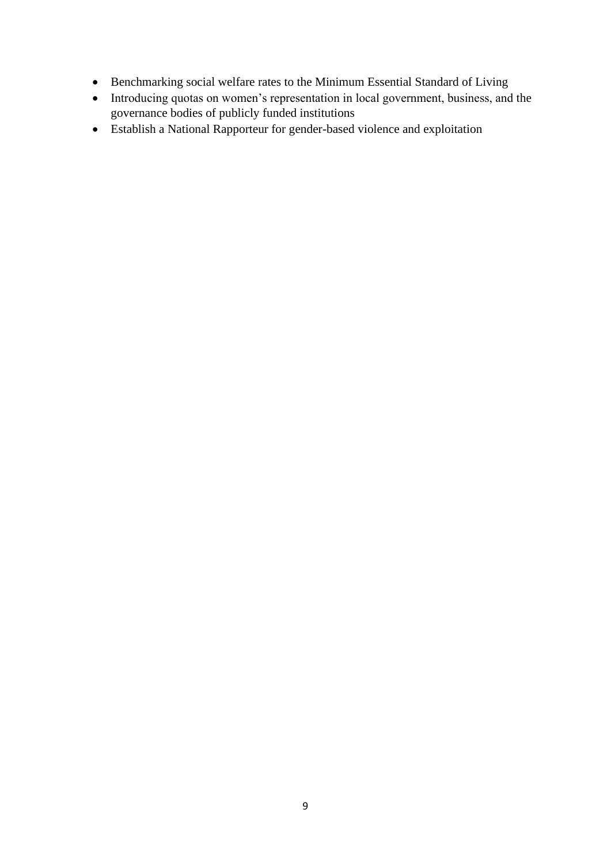- Benchmarking social welfare rates to the Minimum Essential Standard of Living
- Introducing quotas on women's representation in local government, business, and the governance bodies of publicly funded institutions
- Establish a National Rapporteur for gender-based violence and exploitation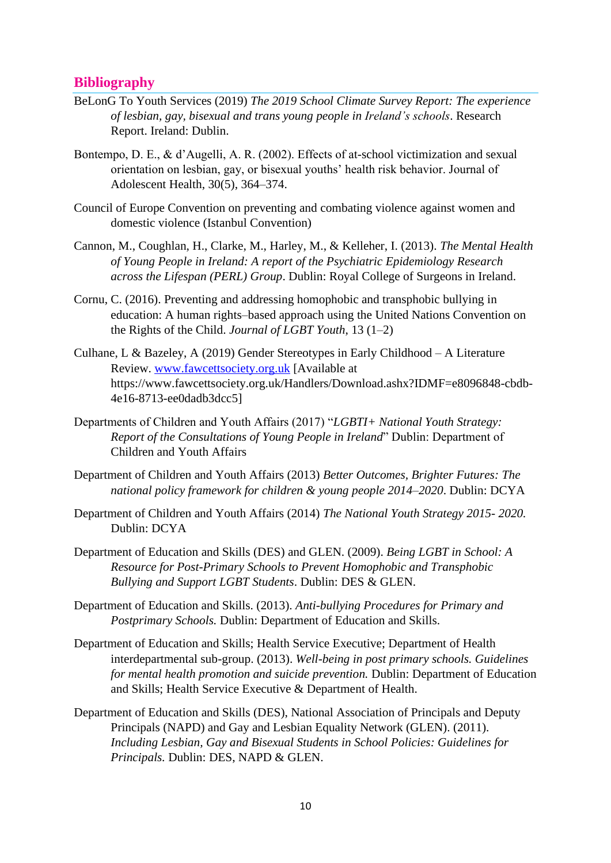## **Bibliography**

- BeLonG To Youth Services (2019) *The 2019 School Climate Survey Report: The experience of lesbian, gay, bisexual and trans young people in Ireland's schools*. Research Report. Ireland: Dublin.
- Bontempo, D. E., & d'Augelli, A. R. (2002). Effects of at-school victimization and sexual orientation on lesbian, gay, or bisexual youths' health risk behavior. Journal of Adolescent Health, 30(5), 364–374.
- Council of Europe Convention on preventing and combating violence against women and domestic violence (Istanbul Convention)
- Cannon, M., Coughlan, H., Clarke, M., Harley, M., & Kelleher, I. (2013). *The Mental Health of Young People in Ireland: A report of the Psychiatric Epidemiology Research across the Lifespan (PERL) Group*. Dublin: Royal College of Surgeons in Ireland.
- Cornu, C. (2016). Preventing and addressing homophobic and transphobic bullying in education: A human rights–based approach using the United Nations Convention on the Rights of the Child. *Journal of LGBT Youth*, 13 (1–2)
- Culhane, L & Bazeley, A (2019) Gender Stereotypes in Early Childhood A Literature Review. [www.fawcettsociety.org.uk](http://www.fawcettsociety.org.uk/) [Available at https://www.fawcettsociety.org.uk/Handlers/Download.ashx?IDMF=e8096848-cbdb-4e16-8713-ee0dadb3dcc5]
- Departments of Children and Youth Affairs (2017) "*LGBTI+ National Youth Strategy: Report of the Consultations of Young People in Ireland*" Dublin: Department of Children and Youth Affairs
- Department of Children and Youth Affairs (2013) *Better Outcomes, Brighter Futures: The national policy framework for children & young people 2014–2020*. Dublin: DCYA
- Department of Children and Youth Affairs (2014) *The National Youth Strategy 2015- 2020.* Dublin: DCYA
- Department of Education and Skills (DES) and GLEN. (2009). *Being LGBT in School: A Resource for Post-Primary Schools to Prevent Homophobic and Transphobic Bullying and Support LGBT Students*. Dublin: DES & GLEN.
- Department of Education and Skills. (2013). *Anti-bullying Procedures for Primary and Postprimary Schools.* Dublin: Department of Education and Skills.
- Department of Education and Skills; Health Service Executive; Department of Health interdepartmental sub-group. (2013). *Well-being in post primary schools. Guidelines for mental health promotion and suicide prevention.* Dublin: Department of Education and Skills; Health Service Executive & Department of Health.
- Department of Education and Skills (DES), National Association of Principals and Deputy Principals (NAPD) and Gay and Lesbian Equality Network (GLEN). (2011). *Including Lesbian, Gay and Bisexual Students in School Policies: Guidelines for Principals.* Dublin: DES, NAPD & GLEN.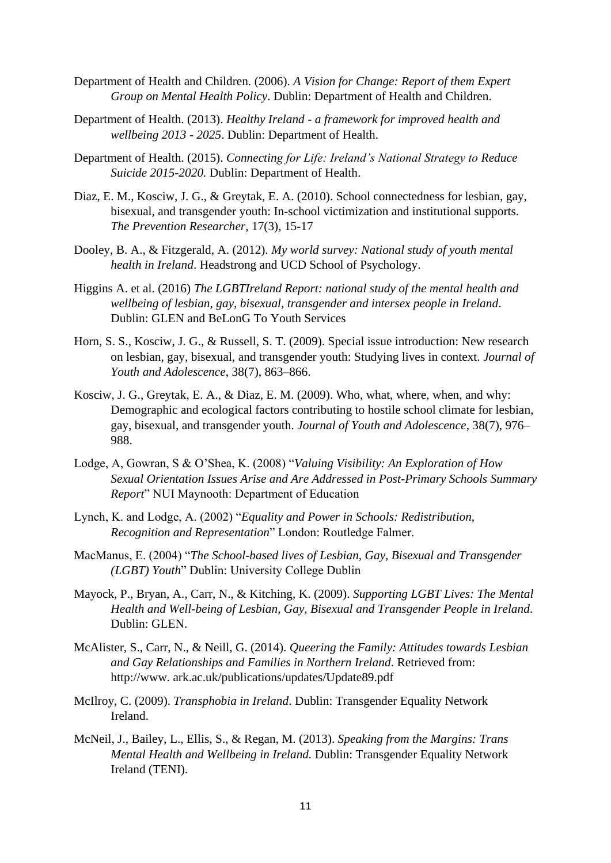- Department of Health and Children. (2006). *A Vision for Change: Report of them Expert Group on Mental Health Policy*. Dublin: Department of Health and Children.
- Department of Health. (2013). *Healthy Ireland - a framework for improved health and wellbeing 2013 - 2025*. Dublin: Department of Health.
- Department of Health. (2015). *Connecting for Life: Ireland's National Strategy to Reduce Suicide 2015-2020.* Dublin: Department of Health.
- Diaz, E. M., Kosciw, J. G., & Greytak, E. A. (2010). School connectedness for lesbian, gay, bisexual, and transgender youth: In-school victimization and institutional supports. *The Prevention Researcher*, 17(3), 15-17
- Dooley, B. A., & Fitzgerald, A. (2012). *My world survey: National study of youth mental health in Ireland*. Headstrong and UCD School of Psychology.
- Higgins A. et al. (2016) *The LGBTIreland Report: national study of the mental health and wellbeing of lesbian, gay, bisexual, transgender and intersex people in Ireland*. Dublin: GLEN and BeLonG To Youth Services
- Horn, S. S., Kosciw, J. G., & Russell, S. T. (2009). Special issue introduction: New research on lesbian, gay, bisexual, and transgender youth: Studying lives in context. *Journal of Youth and Adolescence*, 38(7), 863–866.
- Kosciw, J. G., Greytak, E. A., & Diaz, E. M. (2009). Who, what, where, when, and why: Demographic and ecological factors contributing to hostile school climate for lesbian, gay, bisexual, and transgender youth. *Journal of Youth and Adolescence*, 38(7), 976– 988.
- Lodge, A, Gowran, S & O'Shea, K. (2008) "*Valuing Visibility: An Exploration of How Sexual Orientation Issues Arise and Are Addressed in Post-Primary Schools Summary Report*" NUI Maynooth: Department of Education
- Lynch, K. and Lodge, A. (2002) "*Equality and Power in Schools: Redistribution, Recognition and Representation*" London: Routledge Falmer.
- MacManus, E. (2004) "*The School-based lives of Lesbian, Gay, Bisexual and Transgender (LGBT) Youth*" Dublin: University College Dublin
- Mayock, P., Bryan, A., Carr, N., & Kitching, K. (2009). *Supporting LGBT Lives: The Mental Health and Well-being of Lesbian, Gay, Bisexual and Transgender People in Ireland*. Dublin: GLEN.
- McAlister, S., Carr, N., & Neill, G. (2014). *Queering the Family: Attitudes towards Lesbian and Gay Relationships and Families in Northern Ireland*. Retrieved from: http://www. ark.ac.uk/publications/updates/Update89.pdf
- McIlroy, C. (2009). *Transphobia in Ireland*. Dublin: Transgender Equality Network Ireland.
- McNeil, J., Bailey, L., Ellis, S., & Regan, M. (2013). *Speaking from the Margins: Trans Mental Health and Wellbeing in Ireland.* Dublin: Transgender Equality Network Ireland (TENI).